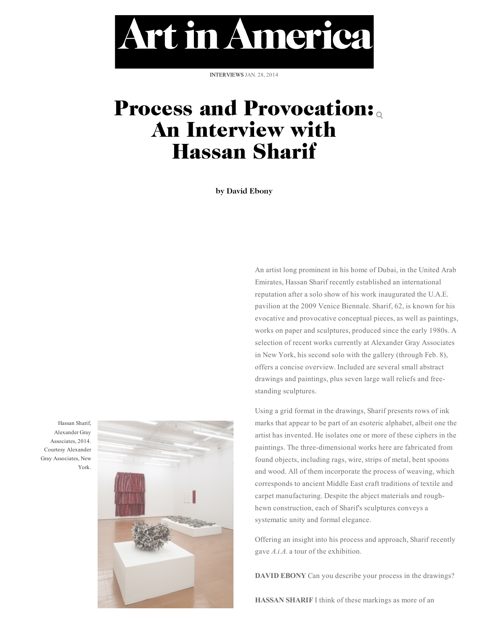Art in America

INTERVIEWS JAN. 28, 2014

## [Process and Provocation:](http://www.artinamericamagazine.com/) An In[terv](http://www.artinamericamagazine.com/news-features/interviews/)iew with Hassan Sharif Search

**by David Ebony**

Hassan Sharif, Alexander Gray Associates, 2014. Courtesy Alexander Gray Associates, New York.



An artist long prominent in his home of Dubai, in the United Arab Emirates, Hassan Sharif recently established an international reputation after a solo show of his work inaugurated the U.A.E. pavilion at the 2009 Venice Biennale. Sharif, 62, is known for his evocative and provocative conceptual pieces, as well as paintings, works on paper and sculptures, produced since the early 1980s. A selection of recent works currently at Alexander Gray Associates in New York, his second solo with the gallery (through Feb. 8), offers a concise overview. Included are several small abstract drawings and paintings, plus seven large wall reliefs and freestanding sculptures.

Using a grid format in the drawings, Sharif presents rows of ink marks that appear to be part of an esoteric alphabet, albeit one the artist has invented. He isolates one or more of these ciphers in the paintings. The three-dimensional works here are fabricated from found objects, including rags, wire, strips of metal, bent spoons and wood. All of them incorporate the process of weaving, which corresponds to ancient Middle East craft traditions of textile and carpet manufacturing. Despite the abject materials and roughhewn construction, each of Sharif's sculptures conveys a systematic unity and formal elegance.

Offering an insight into his process and approach, Sharif recently gave *A.i.A.* a tour of the exhibition.

**DAVID EBONY** Can you describe your process in the drawings?

**HASSAN SHARIF** I think of these markings as more of an